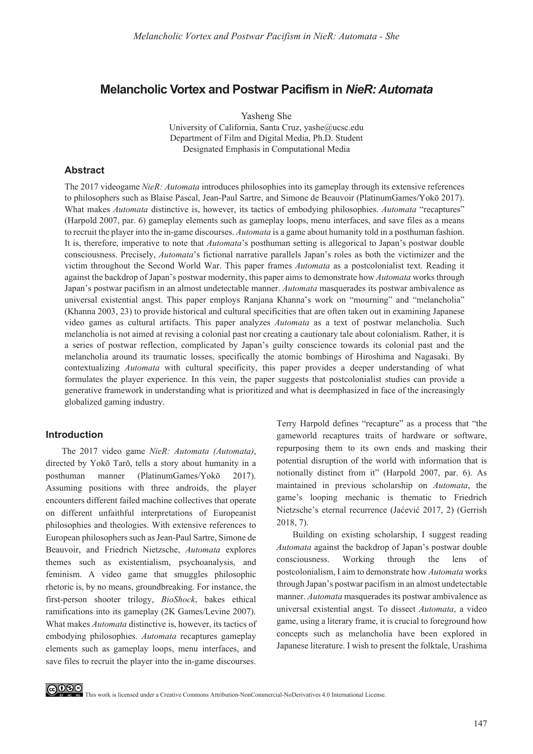# **Melancholic Vortex and Postwar Pacifism in** *NieR: Automata*

Yasheng She University of California, Santa Cruz, yashe@ucsc.edu Department of Film and Digital Media, Ph.D. Student Designated Emphasis in Computational Media

### **Abstract**

The 2017 videogame *NieR: Automata* introduces philosophies into its gameplay through its extensive references to philosophers such as Blaise Pascal, Jean-Paul Sartre, and Simone de Beauvoir (PlatinumGames/Yokō 2017). What makes *Automata* distinctive is, however, its tactics of embodying philosophies. *Automata* "recaptures" (Harpold 2007, par. 6) gameplay elements such as gameplay loops, menu interfaces, and save files as a means to recruit the player into the in-game discourses. *Automata* is a game about humanity told in a posthuman fashion. It is, therefore, imperative to note that *Automata*'s posthuman setting is allegorical to Japan's postwar double consciousness. Precisely, *Automata*'s fictional narrative parallels Japan's roles as both the victimizer and the victim throughout the Second World War. This paper frames *Automata* as a postcolonialist text. Reading it against the backdrop of Japan's postwar modernity, this paper aims to demonstrate how *Automata* works through Japan's postwar pacifism in an almost undetectable manner. *Automata* masquerades its postwar ambivalence as universal existential angst. This paper employs Ranjana Khanna's work on "mourning" and "melancholia"  $(K$ hanna 2003, 23) to provide historical and cultural specificities that are often taken out in examining Japanese video games as cultural artifacts. This paper analyzes *Automata* as a text of postwar melancholia. Such melancholia is not aimed at revising a colonial past nor creating a cautionary tale about colonialism. Rather, it is a series of postwar reflection, complicated by Japan's guilty conscience towards its colonial past and the melancholia around its traumatic losses, specifically the atomic bombings of Hiroshima and Nagasaki. By contextualizing *Automata* with cultural specificity, this paper provides a deeper understanding of what formulates the player experience. In this vein, the paper suggests that postcolonialist studies can provide a generative framework in understanding what is prioritized and what is deemphasized in face of the increasingly globalized gaming industry.

# **Introduction**

The 2017 video game *NieR: Automata (Automata)*, directed by Yokō Tarō, tells a story about humanity in a posthuman manner (PlatinumGames/Yokō  $2017$ ). Assuming positions with three androids, the player encounters different failed machine collectives that operate on different unfaithful interpretations of Europeanist philosophies and theologies. With extensive references to European philosophers such as Jean-Paul Sartre, Simone de Beauvoir, and Friedrich Nietzsche, *Automata* explores themes such as existentialism, psychoanalysis, and feminism. A video game that smuggles philosophic rhetoric is, by no means, groundbreaking. For instance, the first-person shooter trilogy, *BioShock*, bakes ethical ramifications into its gameplay (2K Games/Levine 2007). What makes *Automata* distinctive is, however, its tactics of embodying philosophies. *Automata* recaptures gameplay elements such as gameplay loops, menu interfaces, and save files to recruit the player into the in-game discourses.

Terry Harpold defines "recapture" as a process that "the gameworld recaptures traits of hardware or software, repurposing them to its own ends and masking their potential disruption of the world with information that is notionally distinct from it" (Harpold 2007, par. 6). As maintained in previous scholarship on *Automata*, the game's looping mechanic is thematic to Friedrich Nietzsche's eternal recurrence (Jaćević 2017, 2) (Gerrish  $2018, 7$ .

Building on existing scholarship, I suggest reading *Automata* against the backdrop of Japan's postwar double consciousness. Working through the lens of postcolonialism, I aim to demonstrate how *Automata* works through Japan's postwar pacifism in an almost undetectable manner. *Automata* masquerades its postwar ambivalence as universal existential angst. To dissect *Automata*, a video game, using a literary frame, it is crucial to foreground how concepts such as melancholia have been explored in Japanese literature. I wish to present the folktale, Urashima



CO OSO<br> **This work is licensed under a Creative Commons Attribution-NonCommercial-NoDerivatives 4.0 International License.**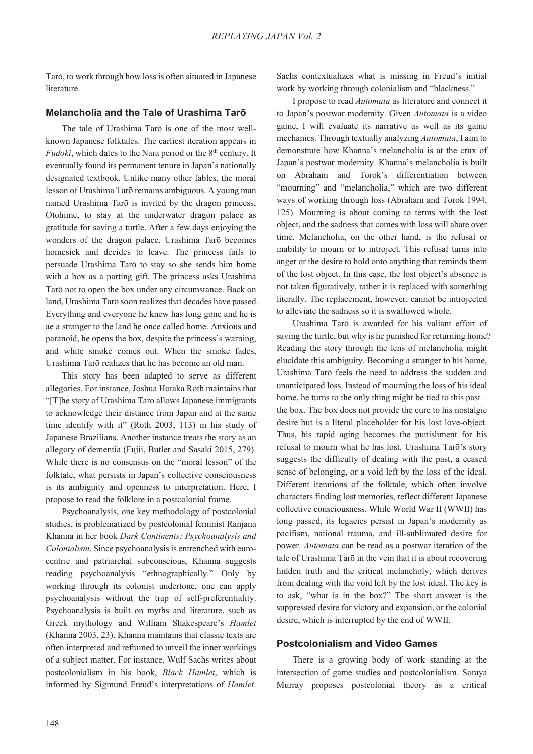Tarō, to work through how loss is often situated in Japanese literature.

### **Melancholia and the Tale of Urashima Taron**

The tale of Urashima Tarō is one of the most wellknown Japanese folktales. The earliest iteration appears in *Fudoki*, which dates to the Nara period or the 8<sup>th</sup> century. It eventually found its permanent tenure in Japan's nationally designated textbook. Unlike many other fables, the moral lesson of Urashima Tarō remains ambiguous. A young man named Urashima Tarō is invited by the dragon princess, Otohime, to stay at the underwater dragon palace as gratitude for saving a turtle. After a few days enjoying the wonders of the dragon palace, Urashima Tarō becomes homesick and decides to leave. The princess fails to persuade Urashima Tarō to stay so she sends him home with a box as a parting gift. The princess asks Urashima Tarō not to open the box under any circumstance. Back on land, Urashima Tarō soon realizes that decades have passed. Everything and everyone he knew has long gone and he is ae a stranger to the land he once called home. Anxious and paranoid, he opens the box, despite the princess's warning, and white smoke comes out. When the smoke fades, Urashima Tarō realizes that he has become an old man.

This story has been adapted to serve as different allegories. For instance, Joshua Hotaka Roth maintains that "[T]he story of Urashima Taro allows Japanese immigrants to acknowledge their distance from Japan and at the same time identify with it" (Roth 2003, 113) in his study of Japanese Brazilians. Another instance treats the story as an allegory of dementia (Fujii, Butler and Sasaki 2015, 279). While there is no consensus on the "moral lesson" of the folktale, what persists in Japan's collective consciousness is its ambiguity and openness to interpretation. Here, I propose to read the folklore in a postcolonial frame.

Psychoanalysis, one key methodology of postcolonial studies, is problematized by postcolonial feminist Ranjana Khanna in her book *Dark Continents: Psychoanalysis and Colonialism*. Since psychoanalysis is entrenched with eurocentric and patriarchal subconscious, Khanna suggests reading psychoanalysis "ethnographically." Only by working through its colonist undertone, one can apply psychoanalysis without the trap of self-preferentiality. Psychoanalysis is built on myths and literature, such as Greek mythology and William Shakespeare's *Hamlet*   $(Khanna 2003, 23)$ . Khanna maintains that classic texts are often interpreted and reframed to unveil the inner workings of a subject matter. For instance, Wulf Sachs writes about postcolonialism in his book, *Black Hamlet*, which is informed by Sigmund Freud's interpretations of *Hamlet*.

Sachs contextualizes what is missing in Freud's initial work by working through colonialism and "blackness."

I propose to read *Automata* as literature and connect it to Japan's postwar modernity. Given *Automata* is a video game, I will evaluate its narrative as well as its game mechanics. Through textually analyzing *Automata*, I aim to demonstrate how Khanna's melancholia is at the crux of Japan's postwar modernity. Khanna's melancholia is built on Abraham and Torok's differentiation between "mourning" and "melancholia," which are two different ways of working through loss (Abraham and Torok 1994, . Mourning is about coming to terms with the lost object, and the sadness that comes with loss will abate over time. Melancholia, on the other hand, is the refusal or inability to mourn or to introject. This refusal turns into anger or the desire to hold onto anything that reminds them of the lost object. In this case, the lost object's absence is not taken figuratively, rather it is replaced with something literally. The replacement, however, cannot be introjected to alleviate the sadness so it is swallowed whole.

Urashima Tarō is awarded for his valiant effort of saving the turtle, but why is he punished for returning home? Reading the story through the lens of melancholia might elucidate this ambiguity. Becoming a stranger to his home, Urashima Tarō feels the need to address the sudden and unanticipated loss. Instead of mourning the loss of his ideal home, he turns to the only thing might be tied to this past – the box. The box does not provide the cure to his nostalgic desire but is a literal placeholder for his lost love-object. Thus, his rapid aging becomes the punishment for his refusal to mourn what he has lost. Urashima Tarō's story suggests the difficulty of dealing with the past, a ceased sense of belonging, or a void left by the loss of the ideal. Different iterations of the folktale, which often involve characters finding lost memories, reflect different Japanese collective consciousness. While World War II (WWII) has long passed, its legacies persist in Japan's modernity as pacifism, national trauma, and ill-sublimated desire for power. *Automata* can be read as a postwar iteration of the tale of Urashima Tarō in the vein that it is about recovering hidden truth and the critical melancholy, which derives from dealing with the void left by the lost ideal. The key is to ask, "what is in the box?" The short answer is the suppressed desire for victory and expansion, or the colonial desire, which is interrupted by the end of WWII.

## **Postcolonialism and Video Games**

There is a growing body of work standing at the intersection of game studies and postcolonialism. Soraya Murray proposes postcolonial theory as a critical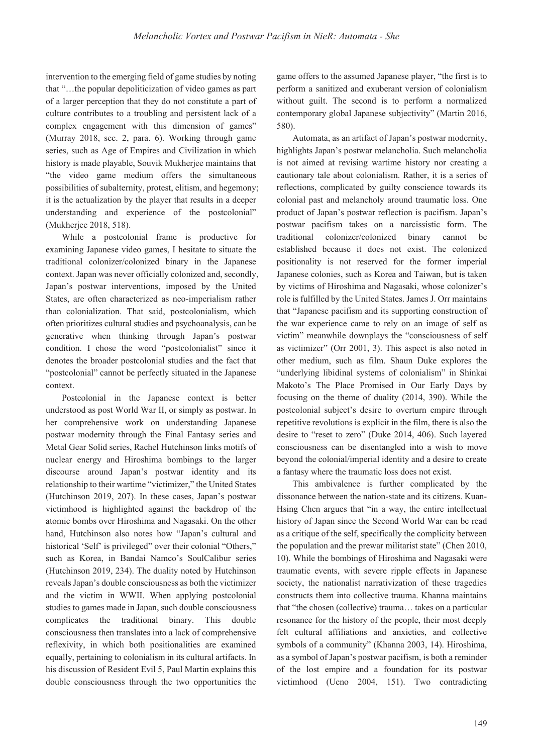intervention to the emerging field of game studies by noting that "…the popular depoliticization of video games as part of a larger perception that they do not constitute a part of culture contributes to a troubling and persistent lack of a complex engagement with this dimension of games" (Murray 2018, sec. 2, para.  $6$ ). Working through game series, such as Age of Empires and Civilization in which history is made playable, Souvik Mukherjee maintains that "the video game medium offers the simultaneous possibilities of subalternity, protest, elitism, and hegemony; it is the actualization by the player that results in a deeper understanding and experience of the postcolonial" (Mukherjee 2018, 518).

While a postcolonial frame is productive for examining Japanese video games, I hesitate to situate the traditional colonizer/colonized binary in the Japanese context. Japan was never officially colonized and, secondly, Japan's postwar interventions, imposed by the United States, are often characterized as neo-imperialism rather than colonialization. That said, postcolonialism, which often prioritizes cultural studies and psychoanalysis, can be generative when thinking through Japan's postwar condition. I chose the word "postcolonialist" since it denotes the broader postcolonial studies and the fact that "postcolonial" cannot be perfectly situated in the Japanese context.

Postcolonial in the Japanese context is better understood as post World War II, or simply as postwar. In her comprehensive work on understanding Japanese postwar modernity through the Final Fantasy series and Metal Gear Solid series, Rachel Hutchinson links motifs of nuclear energy and Hiroshima bombings to the larger discourse around Japan's postwar identity and its relationship to their wartime "victimizer," the United States (Hutchinson 2019, 207). In these cases, Japan's postwar victimhood is highlighted against the backdrop of the atomic bombs over Hiroshima and Nagasaki. On the other hand, Hutchinson also notes how "Japan's cultural and historical 'Self' is privileged" over their colonial "Others," such as Korea, in Bandai Namco's SoulCalibur series (Hutchinson 2019, 234). The duality noted by Hutchinson reveals Japan's double consciousness as both the victimizer and the victim in WWII. When applying postcolonial studies to games made in Japan, such double consciousness complicates the traditional binary. This double consciousness then translates into a lack of comprehensive reflexivity, in which both positionalities are examined equally, pertaining to colonialism in its cultural artifacts. In his discussion of Resident Evil 5, Paul Martin explains this double consciousness through the two opportunities the

game offers to the assumed Japanese player, "the first is to perform a sanitized and exuberant version of colonialism without guilt. The second is to perform a normalized contemporary global Japanese subjectivity" (Martin 2016, 580).

Automata, as an artifact of Japan's postwar modernity, highlights Japan's postwar melancholia. Such melancholia is not aimed at revising wartime history nor creating a cautionary tale about colonialism. Rather, it is a series of reflections, complicated by guilty conscience towards its colonial past and melancholy around traumatic loss. One product of Japan's postwar reflection is pacifism. Japan's postwar pacifism takes on a narcissistic form. The traditional colonizer/colonized binary cannot be established because it does not exist. The colonized positionality is not reserved for the former imperial Japanese colonies, such as Korea and Taiwan, but is taken by victims of Hiroshima and Nagasaki, whose colonizer's role is fulfilled by the United States. James J. Orr maintains that "Japanese pacifism and its supporting construction of the war experience came to rely on an image of self as victim" meanwhile downplays the "consciousness of self as victimizer" (Orr 2001, 3). This aspect is also noted in other medium, such as film. Shaun Duke explores the "underlying libidinal systems of colonialism" in Shinkai Makoto's The Place Promised in Our Early Days by focusing on the theme of duality  $(2014, 390)$ . While the postcolonial subject's desire to overturn empire through repetitive revolutions is explicit in the film, there is also the desire to "reset to zero" (Duke 2014, 406). Such layered consciousness can be disentangled into a wish to move beyond the colonial/imperial identity and a desire to create a fantasy where the traumatic loss does not exist.

This ambivalence is further complicated by the dissonance between the nation-state and its citizens. Kuan-Hsing Chen argues that "in a way, the entire intellectual history of Japan since the Second World War can be read as a critique of the self, specifically the complicity between the population and the prewar militarist state" (Chen 2010, . While the bombings of Hiroshima and Nagasaki were traumatic events, with severe ripple effects in Japanese society, the nationalist narrativization of these tragedies constructs them into collective trauma. Khanna maintains that "the chosen (collective) trauma... takes on a particular resonance for the history of the people, their most deeply felt cultural affiliations and anxieties, and collective symbols of a community" (Khanna 2003, 14). Hiroshima, as a symbol of Japan's postwar pacifism, is both a reminder of the lost empire and a foundation for its postwar victimhood (Ueno  $2004$ , 151). Two contradicting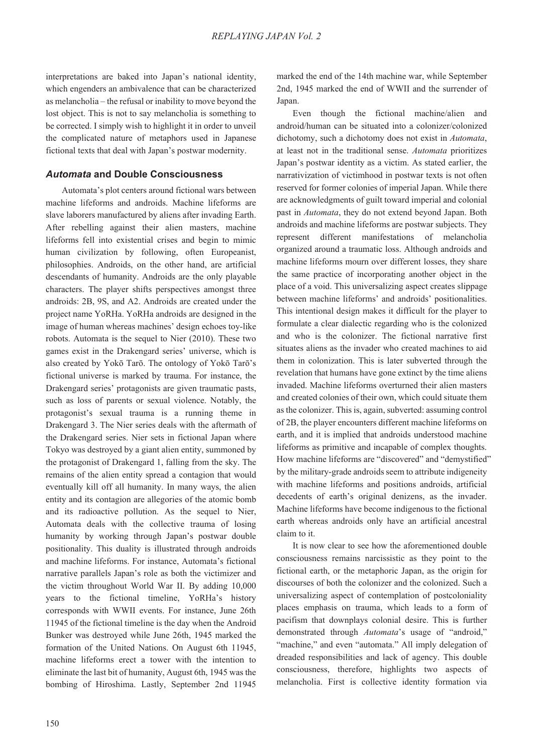interpretations are baked into Japan's national identity, which engenders an ambivalence that can be characterized as melancholia – the refusal or inability to move beyond the lost object. This is not to say melancholia is something to be corrected. I simply wish to highlight it in order to unveil the complicated nature of metaphors used in Japanese fictional texts that deal with Japan's postwar modernity.

# *Automata* **and Double Consciousness**

Automata's plot centers around fictional wars between machine lifeforms and androids. Machine lifeforms are slave laborers manufactured by aliens after invading Earth. After rebelling against their alien masters, machine lifeforms fell into existential crises and begin to mimic human civilization by following, often Europeanist, philosophies. Androids, on the other hand, are artificial descendants of humanity. Androids are the only playable characters. The player shifts perspectives amongst three androids: 2B, 9S, and A2. Androids are created under the project name YoRHa. YoRHa androids are designed in the image of human whereas machines' design echoes toy-like robots. Automata is the sequel to Nier  $(2010)$ . These two games exist in the Drakengard series' universe, which is also created by Yokō Tarō. The ontology of Yokō Tarō's fictional universe is marked by trauma. For instance, the Drakengard series' protagonists are given traumatic pasts, such as loss of parents or sexual violence. Notably, the protagonist's sexual trauma is a running theme in Drakengard 3. The Nier series deals with the aftermath of the Drakengard series. Nier sets in fictional Japan where Tokyo was destroyed by a giant alien entity, summoned by the protagonist of Drakengard 1, falling from the sky. The remains of the alien entity spread a contagion that would eventually kill off all humanity. In many ways, the alien entity and its contagion are allegories of the atomic bomb and its radioactive pollution. As the sequel to Nier, Automata deals with the collective trauma of losing humanity by working through Japan's postwar double positionality. This duality is illustrated through androids and machine lifeforms. For instance, Automata's fictional narrative parallels Japan's role as both the victimizer and the victim throughout World War II. By adding 10,000 years to the fictional timeline, YoRHa's history corresponds with WWII events. For instance, June 26th 11945 of the fictional timeline is the day when the Android Bunker was destroyed while June 26th, 1945 marked the formation of the United Nations. On August 6th 11945, machine lifeforms erect a tower with the intention to eliminate the last bit of humanity, August 6th, 1945 was the bombing of Hiroshima. Lastly, September 2nd 11945 marked the end of the 14th machine war, while September 2nd, 1945 marked the end of WWII and the surrender of Japan.

Even though the fictional machine/alien and android/human can be situated into a colonizer/colonized dichotomy, such a dichotomy does not exist in *Automata*, at least not in the traditional sense. *Automata* prioritizes Japan's postwar identity as a victim. As stated earlier, the narrativization of victimhood in postwar texts is not often reserved for former colonies of imperial Japan. While there are acknowledgments of guilt toward imperial and colonial past in *Automata*, they do not extend beyond Japan. Both androids and machine lifeforms are postwar subjects. They represent different manifestations of melancholia organized around a traumatic loss. Although androids and machine lifeforms mourn over different losses, they share the same practice of incorporating another object in the place of a void. This universalizing aspect creates slippage between machine lifeforms' and androids' positionalities. This intentional design makes it difficult for the player to formulate a clear dialectic regarding who is the colonized and who is the colonizer. The fictional narrative first situates aliens as the invader who created machines to aid them in colonization. This is later subverted through the revelation that humans have gone extinct by the time aliens invaded. Machine lifeforms overturned their alien masters and created colonies of their own, which could situate them as the colonizer. This is, again, subverted: assuming control of 2B, the player encounters different machine lifeforms on earth, and it is implied that androids understood machine lifeforms as primitive and incapable of complex thoughts. How machine lifeforms are "discovered" and "demystified" by the military-grade androids seem to attribute indigeneity with machine lifeforms and positions androids, artificial decedents of earth's original denizens, as the invader. Machine lifeforms have become indigenous to the fictional earth whereas androids only have an artificial ancestral claim to it.

It is now clear to see how the aforementioned double consciousness remains narcissistic as they point to the fictional earth, or the metaphoric Japan, as the origin for discourses of both the colonizer and the colonized. Such a universalizing aspect of contemplation of postcoloniality places emphasis on trauma, which leads to a form of pacifism that downplays colonial desire. This is further demonstrated through *Automata*'s usage of "android," "machine," and even "automata." All imply delegation of dreaded responsibilities and lack of agency. This double consciousness, therefore, highlights two aspects of melancholia. First is collective identity formation via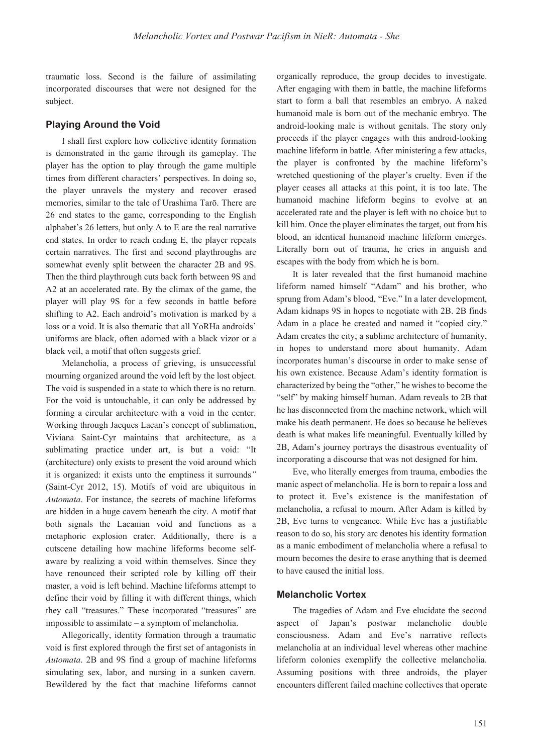traumatic loss. Second is the failure of assimilating incorporated discourses that were not designed for the subject.

#### **Playing Around the Void**

I shall first explore how collective identity formation is demonstrated in the game through its gameplay. The player has the option to play through the game multiple times from different characters' perspectives. In doing so, the player unravels the mystery and recover erased memories, similar to the tale of Urashima Tarō. There are 26 end states to the game, corresponding to the English alphabet's 26 letters, but only A to E are the real narrative end states. In order to reach ending E, the player repeats certain narratives. The first and second playthroughs are somewhat evenly split between the character 2B and 9S. Then the third playthrough cuts back forth between 9S and A2 at an accelerated rate. By the climax of the game, the player will play 9S for a few seconds in battle before shifting to A2. Each android's motivation is marked by a loss or a void. It is also thematic that all YoRHa androids' uniforms are black, often adorned with a black vizor or a black veil, a motif that often suggests grief.

Melancholia, a process of grieving, is unsuccessful mourning organized around the void left by the lost object. The void is suspended in a state to which there is no return. For the void is untouchable, it can only be addressed by forming a circular architecture with a void in the center. Working through Jacques Lacan's concept of sublimation, Viviana Saint-Cyr maintains that architecture, as a sublimating practice under art, is but a void: "It (architecture) only exists to present the void around which it is organized: it exists unto the emptiness it surrounds*"* (Saint-Cyr 2012, 15). Motifs of void are ubiquitous in *Automata*. For instance, the secrets of machine lifeforms are hidden in a huge cavern beneath the city. A motif that both signals the Lacanian void and functions as a metaphoric explosion crater. Additionally, there is a cutscene detailing how machine lifeforms become selfaware by realizing a void within themselves. Since they have renounced their scripted role by killing off their master, a void is left behind. Machine lifeforms attempt to define their void by filling it with different things, which they call "treasures." These incorporated "treasures" are impossible to assimilate – a symptom of melancholia.

Allegorically, identity formation through a traumatic void is first explored through the first set of antagonists in *Automata*. 2B and 9S find a group of machine lifeforms simulating sex, labor, and nursing in a sunken cavern. Bewildered by the fact that machine lifeforms cannot organically reproduce, the group decides to investigate. After engaging with them in battle, the machine lifeforms start to form a ball that resembles an embryo. A naked humanoid male is born out of the mechanic embryo. The android-looking male is without genitals. The story only proceeds if the player engages with this android-looking machine lifeform in battle. After ministering a few attacks, the player is confronted by the machine lifeform's wretched questioning of the player's cruelty. Even if the player ceases all attacks at this point, it is too late. The humanoid machine lifeform begins to evolve at an accelerated rate and the player is left with no choice but to kill him. Once the player eliminates the target, out from his blood, an identical humanoid machine lifeform emerges. Literally born out of trauma, he cries in anguish and escapes with the body from which he is born.

It is later revealed that the first humanoid machine lifeform named himself "Adam" and his brother, who sprung from Adam's blood, "Eve." In a later development, Adam kidnaps 9S in hopes to negotiate with 2B. 2B finds Adam in a place he created and named it "copied city." Adam creates the city, a sublime architecture of humanity, in hopes to understand more about humanity. Adam incorporates human's discourse in order to make sense of his own existence. Because Adam's identity formation is characterized by being the "other," he wishes to become the "self" by making himself human. Adam reveals to 2B that he has disconnected from the machine network, which will make his death permanent. He does so because he believes death is what makes life meaningful. Eventually killed by 2B, Adam's journey portrays the disastrous eventuality of incorporating a discourse that was not designed for him.

Eve, who literally emerges from trauma, embodies the manic aspect of melancholia. He is born to repair a loss and to protect it. Eve's existence is the manifestation of melancholia, a refusal to mourn. After Adam is killed by 2B, Eve turns to vengeance. While Eve has a justifiable reason to do so, his story arc denotes his identity formation as a manic embodiment of melancholia where a refusal to mourn becomes the desire to erase anything that is deemed to have caused the initial loss.

### **Melancholic Vortex**

The tragedies of Adam and Eve elucidate the second aspect of Japan's postwar melancholic double consciousness. Adam and Eve's narrative reflects melancholia at an individual level whereas other machine lifeform colonies exemplify the collective melancholia. Assuming positions with three androids, the player encounters different failed machine collectives that operate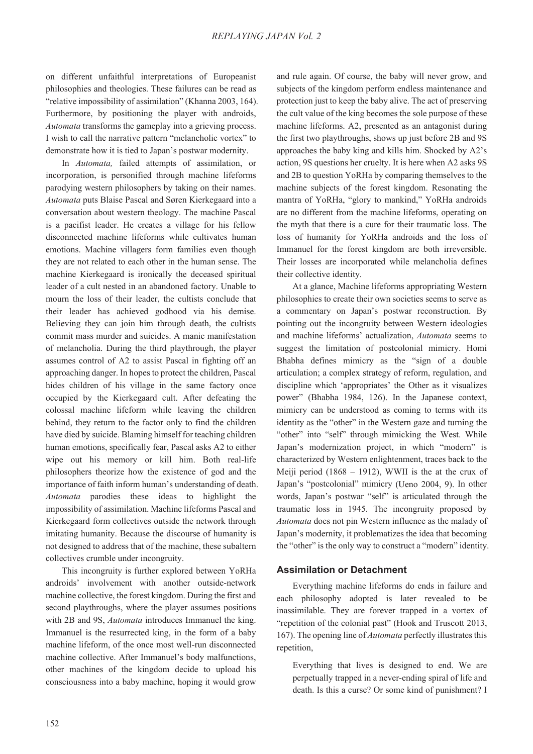on different unfaithful interpretations of Europeanist philosophies and theologies. These failures can be read as "relative impossibility of assimilation" (Khanna 2003, 164). Furthermore, by positioning the player with androids, *Automata* transforms the gameplay into a grieving process. I wish to call the narrative pattern "melancholic vortex" to demonstrate how it is tied to Japan's postwar modernity.

In *Automata,* failed attempts of assimilation, or incorporation, is personified through machine lifeforms parodying western philosophers by taking on their names. *Automata* puts Blaise Pascal and Søren Kierkegaard into a conversation about western theology. The machine Pascal is a pacifist leader. He creates a village for his fellow disconnected machine lifeforms while cultivates human emotions. Machine villagers form families even though they are not related to each other in the human sense. The machine Kierkegaard is ironically the deceased spiritual leader of a cult nested in an abandoned factory. Unable to mourn the loss of their leader, the cultists conclude that their leader has achieved godhood via his demise. Believing they can join him through death, the cultists commit mass murder and suicides. A manic manifestation of melancholia. During the third playthrough, the player assumes control of A2 to assist Pascal in fighting off an approaching danger. In hopes to protect the children, Pascal hides children of his village in the same factory once occupied by the Kierkegaard cult. After defeating the colossal machine lifeform while leaving the children behind, they return to the factor only to find the children have died by suicide. Blaming himself for teaching children human emotions, specifically fear, Pascal asks A2 to either wipe out his memory or kill him. Both real-life philosophers theorize how the existence of god and the importance of faith inform human's understanding of death. *Automata* parodies these ideas to highlight the impossibility of assimilation. Machine lifeforms Pascal and Kierkegaard form collectives outside the network through imitating humanity. Because the discourse of humanity is not designed to address that of the machine, these subaltern collectives crumble under incongruity.

This incongruity is further explored between YoRHa androids' involvement with another outside-network machine collective, the forest kingdom. During the first and second playthroughs, where the player assumes positions with 2B and 9S, *Automata* introduces Immanuel the king. Immanuel is the resurrected king, in the form of a baby machine lifeform, of the once most well-run disconnected machine collective. After Immanuel's body malfunctions, other machines of the kingdom decide to upload his consciousness into a baby machine, hoping it would grow

and rule again. Of course, the baby will never grow, and subjects of the kingdom perform endless maintenance and protection just to keep the baby alive. The act of preserving the cult value of the king becomes the sole purpose of these machine lifeforms. A2, presented as an antagonist during the first two playthroughs, shows up just before 2B and 9S approaches the baby king and kills him. Shocked by A2's action, 9S questions her cruelty. It is here when A2 asks 9S and 2B to question YoRHa by comparing themselves to the machine subjects of the forest kingdom. Resonating the mantra of YoRHa, "glory to mankind," YoRHa androids are no different from the machine lifeforms, operating on the myth that there is a cure for their traumatic loss. The loss of humanity for YoRHa androids and the loss of Immanuel for the forest kingdom are both irreversible. Their losses are incorporated while melancholia defines their collective identity.

At a glance, Machine lifeforms appropriating Western philosophies to create their own societies seems to serve as a commentary on Japan's postwar reconstruction. By pointing out the incongruity between Western ideologies and machine lifeforms' actualization, *Automata* seems to suggest the limitation of postcolonial mimicry. Homi Bhabha defines mimicry as the "sign of a double articulation; a complex strategy of reform, regulation, and discipline which 'appropriates' the Other as it visualizes power" (Bhabha 1984, 126). In the Japanese context, mimicry can be understood as coming to terms with its identity as the "other" in the Western gaze and turning the "other" into "self" through mimicking the West. While Japan's modernization project, in which "modern" is characterized by Western enlightenment, traces back to the Meiji period  $(1868 - 1912)$ , WWII is the at the crux of Japan's "postcolonial" mimicry (Ueno 2004, 9). In other words, Japan's postwar "self" is articulated through the traumatic loss in 1945. The incongruity proposed by *Automata* does not pin Western influence as the malady of Japan's modernity, it problematizes the idea that becoming the "other" is the only way to construct a "modern" identity.

### **Assimilation or Detachment**

Everything machine lifeforms do ends in failure and each philosophy adopted is later revealed to be inassimilable. They are forever trapped in a vortex of "repetition of the colonial past" (Hook and Truscott 2013, . The opening line of *Automata* perfectly illustrates this repetition,

Everything that lives is designed to end. We are perpetually trapped in a never-ending spiral of life and death. Is this a curse? Or some kind of punishment? I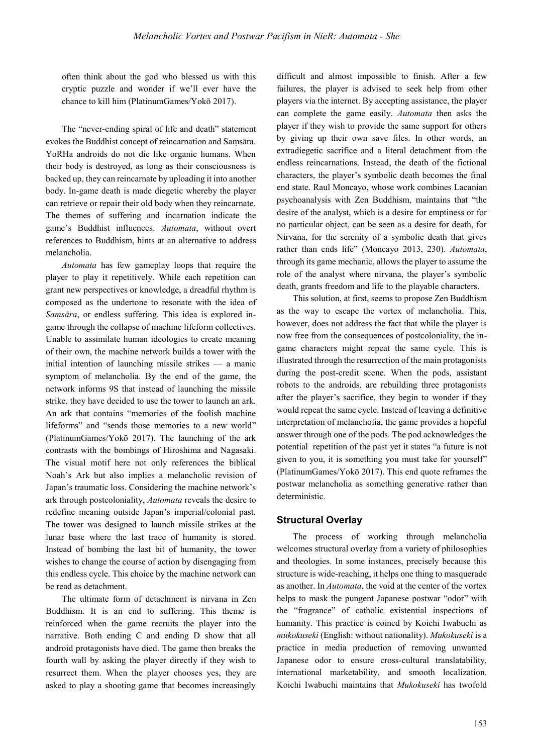often think about the god who blessed us with this cryptic puzzle and wonder if we'll ever have the chance to kill him (PlatinumGames/Yokō 2017).

The "never-ending spiral of life and death" statement evokes the Buddhist concept of reincarnation and Samsāra. YoRHa androids do not die like organic humans. When their body is destroyed, as long as their consciousness is backed up, they can reincarnate by uploading it into another body. In-game death is made diegetic whereby the player can retrieve or repair their old body when they reincarnate. The themes of suffering and incarnation indicate the game's Buddhist influences. *Automata*, without overt references to Buddhism, hints at an alternative to address melancholia.

*Automata* has few gameplay loops that require the player to play it repetitively. While each repetition can grant new perspectives or knowledge, a dreadful rhythm is composed as the undertone to resonate with the idea of *Samsāra*, or endless suffering. This idea is explored ingame through the collapse of machine lifeform collectives. Unable to assimilate human ideologies to create meaning of their own, the machine network builds a tower with the initial intention of launching missile strikes — a manic symptom of melancholia. By the end of the game, the network informs 9S that instead of launching the missile strike, they have decided to use the tower to launch an ark. An ark that contains "memories of the foolish machine lifeforms" and "sends those memories to a new world" (PlatinumGames/Yokō 2017). The launching of the ark contrasts with the bombings of Hiroshima and Nagasaki. The visual motif here not only references the biblical Noah's Ark but also implies a melancholic revision of Japan's traumatic loss. Considering the machine network's ark through postcoloniality, *Automata* reveals the desire to redefine meaning outside Japan's imperial/colonial past. The tower was designed to launch missile strikes at the lunar base where the last trace of humanity is stored. Instead of bombing the last bit of humanity, the tower wishes to change the course of action by disengaging from this endless cycle. This choice by the machine network can be read as detachment.

The ultimate form of detachment is nirvana in Zen Buddhism. It is an end to suffering. This theme is reinforced when the game recruits the player into the narrative. Both ending C and ending D show that all android protagonists have died. The game then breaks the fourth wall by asking the player directly if they wish to resurrect them. When the player chooses yes, they are asked to play a shooting game that becomes increasingly

difficult and almost impossible to finish. After a few failures, the player is advised to seek help from other players via the internet. By accepting assistance, the player can complete the game easily. *Automata* then asks the player if they wish to provide the same support for others by giving up their own save files. In other words, an extradiegetic sacrifice and a literal detachment from the endless reincarnations. Instead, the death of the fictional characters, the player's symbolic death becomes the final end state. Raul Moncayo, whose work combines Lacanian psychoanalysis with Zen Buddhism, maintains that "the desire of the analyst, which is a desire for emptiness or for no particular object, can be seen as a desire for death, for Nirvana, for the serenity of a symbolic death that gives rather than ends life" (Moncayo 2013, 230)*. Automata*, through its game mechanic, allows the player to assume the role of the analyst where nirvana, the player's symbolic death, grants freedom and life to the playable characters.

This solution, at first, seems to propose Zen Buddhism as the way to escape the vortex of melancholia. This, however, does not address the fact that while the player is now free from the consequences of postcoloniality, the ingame characters might repeat the same cycle. This is illustrated through the resurrection of the main protagonists during the post-credit scene. When the pods, assistant robots to the androids, are rebuilding three protagonists after the player's sacrifice, they begin to wonder if they would repeat the same cycle. Instead of leaving a definitive interpretation of melancholia, the game provides a hopeful answer through one of the pods. The pod acknowledges the potential repetition of the past yet it states "a future is not given to you, it is something you must take for yourself" (PlatinumGames/Yokō 2017). This end quote reframes the postwar melancholia as something generative rather than deterministic.

#### **Structural Overlay**

The process of working through melancholia welcomes structural overlay from a variety of philosophies and theologies. In some instances, precisely because this structure is wide-reaching, it helps one thing to masquerade as another. In *Automata*, the void at the center of the vortex helps to mask the pungent Japanese postwar "odor" with the "fragrance" of catholic existential inspections of humanity. This practice is coined by Koichi Iwabuchi as *mukokuseki* (English: without nationality). *Mukokuseki* is a practice in media production of removing unwanted Japanese odor to ensure cross-cultural translatability, international marketability, and smooth localization. Koichi Iwabuchi maintains that *Mukokuseki* has twofold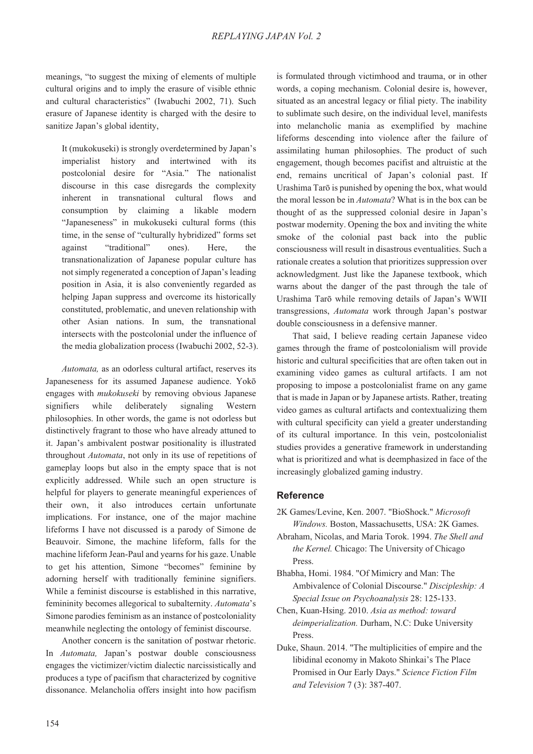meanings, "to suggest the mixing of elements of multiple cultural origins and to imply the erasure of visible ethnic and cultural characteristics" (Iwabuchi 2002, 71). Such erasure of Japanese identity is charged with the desire to sanitize Japan's global identity,

It (mukokuseki) is strongly overdetermined by Japan's imperialist history and intertwined with its postcolonial desire for "Asia." The nationalist discourse in this case disregards the complexity inherent in transnational cultural flows and consumption by claiming a likable modern "Japaneseness" in mukokuseki cultural forms (this time, in the sense of "culturally hybridized" forms set against "traditional" ones). Here, the transnationalization of Japanese popular culture has not simply regenerated a conception of Japan's leading position in Asia, it is also conveniently regarded as helping Japan suppress and overcome its historically constituted, problematic, and uneven relationship with other Asian nations. In sum, the transnational intersects with the postcolonial under the influence of the media globalization process (Iwabuchi 2002, 52-3).

*Automata,* as an odorless cultural artifact, reserves its Japaneseness for its assumed Japanese audience. Yokō engages with *mukokuseki* by removing obvious Japanese signifiers while deliberately signaling Western philosophies. In other words, the game is not odorless but distinctively fragrant to those who have already attuned to it. Japan's ambivalent postwar positionality is illustrated throughout *Automata*, not only in its use of repetitions of gameplay loops but also in the empty space that is not explicitly addressed. While such an open structure is helpful for players to generate meaningful experiences of their own, it also introduces certain unfortunate implications. For instance, one of the major machine lifeforms I have not discussed is a parody of Simone de Beauvoir. Simone, the machine lifeform, falls for the machine lifeform Jean-Paul and yearns for his gaze. Unable to get his attention, Simone "becomes" feminine by adorning herself with traditionally feminine signifiers. While a feminist discourse is established in this narrative, femininity becomes allegorical to subalternity. *Automata*'s Simone parodies feminism as an instance of postcoloniality meanwhile neglecting the ontology of feminist discourse.

Another concern is the sanitation of postwar rhetoric. In *Automata,* Japan's postwar double consciousness engages the victimizer/victim dialectic narcissistically and produces a type of pacifism that characterized by cognitive dissonance. Melancholia offers insight into how pacifism

is formulated through victimhood and trauma, or in other words, a coping mechanism. Colonial desire is, however, situated as an ancestral legacy or filial piety. The inability to sublimate such desire, on the individual level, manifests into melancholic mania as exemplified by machine lifeforms descending into violence after the failure of assimilating human philosophies. The product of such engagement, though becomes pacifist and altruistic at the end, remains uncritical of Japan's colonial past. If Urashima Tarō is punished by opening the box, what would the moral lesson be in *Automata*? What is in the box can be thought of as the suppressed colonial desire in Japan's postwar modernity. Opening the box and inviting the white smoke of the colonial past back into the public consciousness will result in disastrous eventualities. Such a rationale creates a solution that prioritizes suppression over acknowledgment. Just like the Japanese textbook, which warns about the danger of the past through the tale of Urashima Tarō while removing details of Japan's WWII transgressions, *Automata* work through Japan's postwar double consciousness in a defensive manner.

That said, I believe reading certain Japanese video games through the frame of postcolonialism will provide historic and cultural specificities that are often taken out in examining video games as cultural artifacts. I am not proposing to impose a postcolonialist frame on any game that is made in Japan or by Japanese artists. Rather, treating video games as cultural artifacts and contextualizing them with cultural specificity can yield a greater understanding of its cultural importance. In this vein, postcolonialist studies provides a generative framework in understanding what is prioritized and what is deemphasized in face of the increasingly globalized gaming industry.

# **Reference**

- 2K Games/Levine, Ken. 2007. "BioShock." *Microsoft Windows.* Boston, Massachusetts, USA: 2K Games.
- Abraham, Nicolas, and Maria Torok. 1994. *The Shell and the Kernel.* Chicago: The University of Chicago Press.
- Bhabha, Homi. 1984. "Of Mimicry and Man: The Ambivalence of Colonial Discourse." *Discipleship: A Special Issue on Psychoanalysis* 28: 125-133.
- Chen, Kuan-Hsing. 2010. *Asia as method: toward deimperialization.* Durham, N.C: Duke University Press.
- Duke, Shaun. 2014. "The multiplicities of empire and the libidinal economy in Makoto Shinkai's The Place Promised in Our Early Days." *Science Fiction Film*  and Television 7 (3): 387-407.